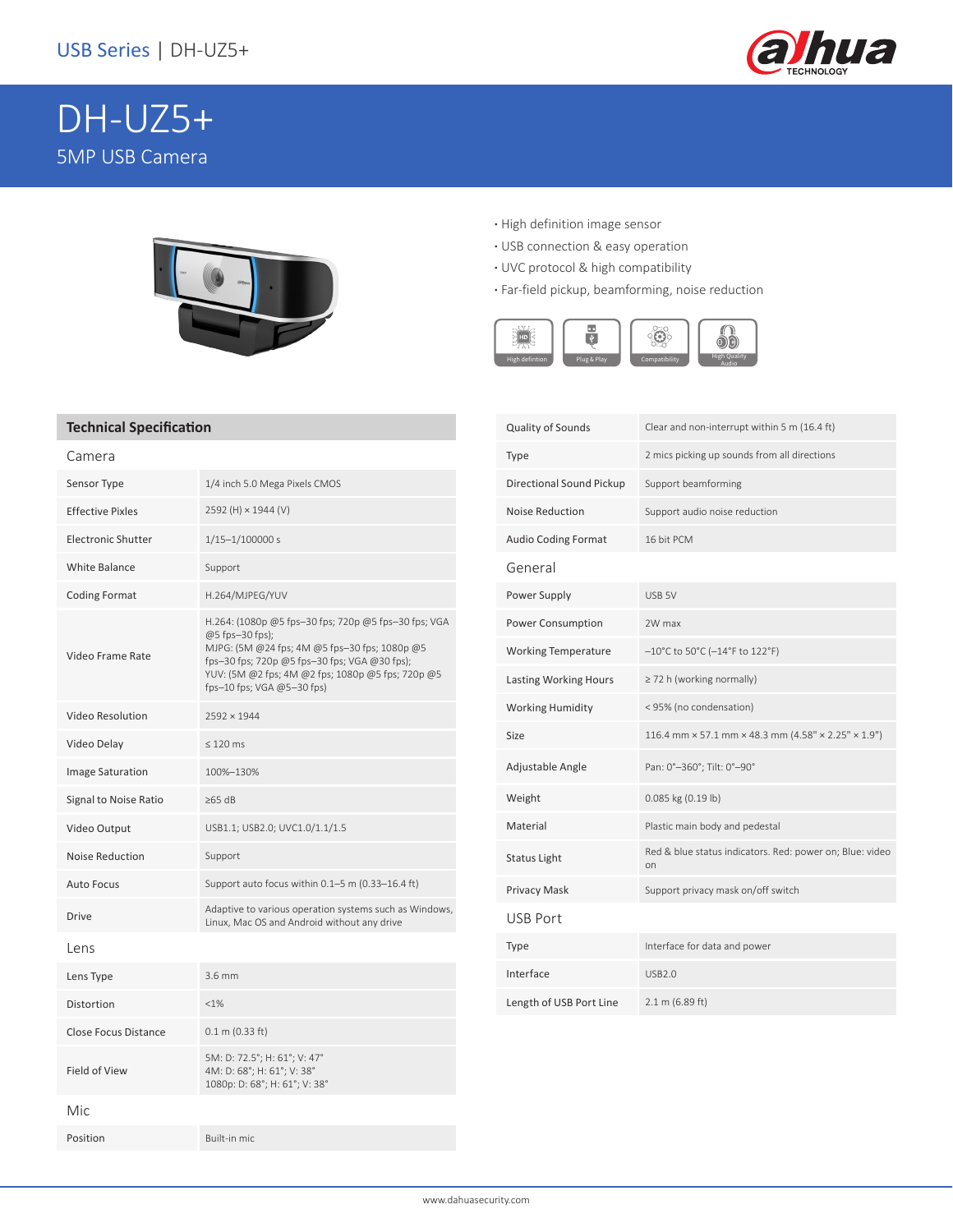

# DH-UZ5+ 5MP USB Camera



- **·** High definition image sensor
- **·** USB connection & easy operation
- **·** UVC protocol & high compatibility
- **·** Far-field pickup, beamforming, noise reduction



### **Technical Specification**

| Camera                    |                                                                                                                                                                                                                                                              |  |
|---------------------------|--------------------------------------------------------------------------------------------------------------------------------------------------------------------------------------------------------------------------------------------------------------|--|
| Sensor Type               | 1/4 inch 5.0 Mega Pixels CMOS                                                                                                                                                                                                                                |  |
| <b>Effective Pixles</b>   | 2592 (H) × 1944 (V)                                                                                                                                                                                                                                          |  |
| <b>Electronic Shutter</b> | $1/15 - 1/100000 s$                                                                                                                                                                                                                                          |  |
| <b>White Balance</b>      | Support                                                                                                                                                                                                                                                      |  |
| <b>Coding Format</b>      | H.264/MJPEG/YUV                                                                                                                                                                                                                                              |  |
| Video Frame Rate          | H.264: (1080p @5 fps-30 fps; 720p @5 fps-30 fps; VGA<br>@5 fps-30 fps);<br>MJPG: (5M @24 fps; 4M @5 fps-30 fps; 1080p @5<br>fps-30 fps; 720p @5 fps-30 fps; VGA @30 fps);<br>YUV: (5M @2 fps; 4M @2 fps; 1080p @5 fps; 720p @5<br>fps-10 fps; VGA @5-30 fps) |  |
| Video Resolution          | $2592 \times 1944$                                                                                                                                                                                                                                           |  |
| Video Delay               | $\leq 120$ ms                                                                                                                                                                                                                                                |  |
| <b>Image Saturation</b>   | 100%-130%                                                                                                                                                                                                                                                    |  |
| Signal to Noise Ratio     | $\geq 65$ dB                                                                                                                                                                                                                                                 |  |
| Video Output              | USB1.1; USB2.0; UVC1.0/1.1/1.5                                                                                                                                                                                                                               |  |
| Noise Reduction           | Support                                                                                                                                                                                                                                                      |  |
| <b>Auto Focus</b>         | Support auto focus within 0.1-5 m (0.33-16.4 ft)                                                                                                                                                                                                             |  |
| Drive                     | Adaptive to various operation systems such as Windows,<br>Linux, Mac OS and Android without any drive                                                                                                                                                        |  |
| Lens                      |                                                                                                                                                                                                                                                              |  |
| Lens Type                 | $3.6$ mm                                                                                                                                                                                                                                                     |  |
| Distortion                | $< 1\%$                                                                                                                                                                                                                                                      |  |
| Close Focus Distance      | $0.1$ m (0.33 ft)                                                                                                                                                                                                                                            |  |
| Field of View             | 5M: D: 72.5°; H: 61°; V: 47°<br>4M: D: 68°; H: 61°; V: 38°<br>1080p: D: 68°; H: 61°; V: 38°                                                                                                                                                                  |  |
| Mic                       |                                                                                                                                                                                                                                                              |  |
| Position                  | Built-in mic                                                                                                                                                                                                                                                 |  |

| Quality of Sounds            | Clear and non-interrupt within 5 m (16.4 ft)                                    |  |
|------------------------------|---------------------------------------------------------------------------------|--|
| Type                         | 2 mics picking up sounds from all directions                                    |  |
| Directional Sound Pickup     | Support beamforming                                                             |  |
| <b>Noise Reduction</b>       | Support audio noise reduction                                                   |  |
| <b>Audio Coding Format</b>   | 16 bit PCM                                                                      |  |
| General                      |                                                                                 |  |
| Power Supply                 | USB 5V                                                                          |  |
| Power Consumption            | 2W max                                                                          |  |
| <b>Working Temperature</b>   | $-10^{\circ}$ C to 50°C (-14°F to 122°F)                                        |  |
| <b>Lasting Working Hours</b> | $\geq$ 72 h (working normally)                                                  |  |
| <b>Working Humidity</b>      | < 95% (no condensation)                                                         |  |
| Size                         | 116.4 mm $\times$ 57.1 mm $\times$ 48.3 mm (4.58" $\times$ 2.25" $\times$ 1.9") |  |
| Adjustable Angle             | Pan: 0°-360°; Tilt: 0°-90°                                                      |  |
| Weight                       | 0.085 kg (0.19 lb)                                                              |  |
| Material                     | Plastic main body and pedestal                                                  |  |
| Status Light                 | Red & blue status indicators. Red: power on; Blue: video<br>on                  |  |
| Privacy Mask                 | Support privacy mask on/off switch                                              |  |
| <b>USB Port</b>              |                                                                                 |  |
| Type                         | Interface for data and power                                                    |  |
| Interface                    | <b>USB2.0</b>                                                                   |  |
| Length of USB Port Line      | 2.1 m (6.89 ft)                                                                 |  |
|                              |                                                                                 |  |